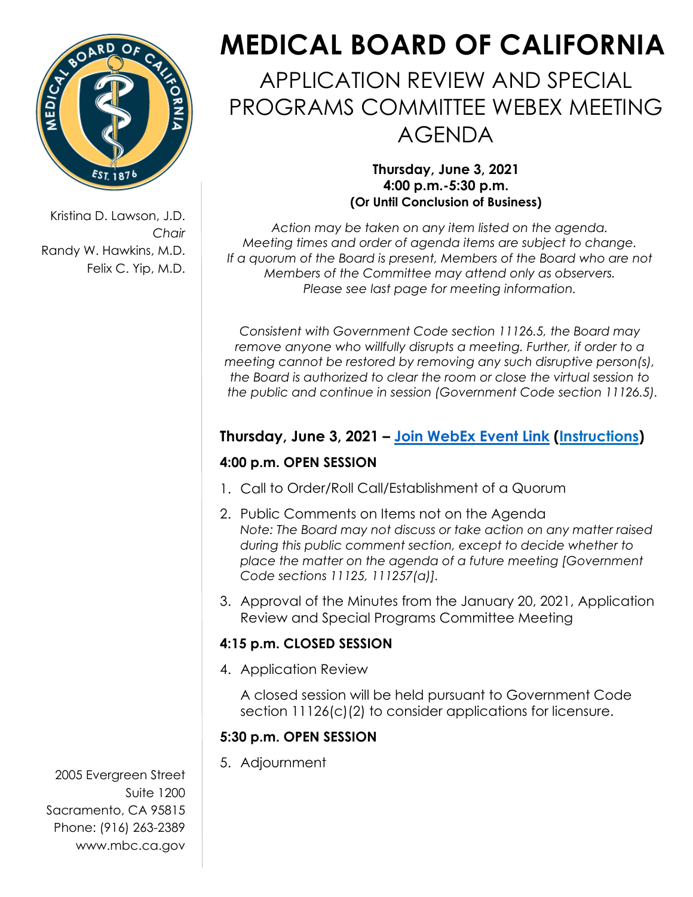

Kristina D. Lawson, J.D. *Chair* Randy W. Hawkins, M.D. Felix C. Yip, M.D.

# **MEDICAL BOARD OF CALIFORNIA**

APPLICATION REVIEW AND SPECIAL PROGRAMS COMMITTEE WEBEX MEETING AGENDA

> **Thursday, June 3, 2021 4:00 p.m.-5:30 p.m. (Or Until Conclusion of Business)**

*Action may be taken on any item listed on the agenda. Meeting times and order of agenda items are subject to change. If a quorum of the Board is present, Members of the Board who are not Members of the Committee may attend only as observers. Please see last page for meeting information.*

*Consistent with Government Code section 11126.5, the Board may remove anyone who willfully disrupts a meeting. Further, if order to a meeting cannot be restored by removing any such disruptive person(s), the Board is authorized to clear the room or close the virtual session to the public and continue in session (Government Code section 11126.5).* 

## **Thursday, June 3, 2021 – [Join WebEx Event Link](https://dca-meetings.webex.com/dca-meetings/onstage/g.php?MTID=e975625baabcb8d059ba99a9300ec546b) [\(Instructions\)](https://www.mbc.ca.gov/Download/User-Guides/HowToJoinAWebExEvent.pdf)**

#### **4:00 p.m. OPEN SESSION**

- 1. Call to Order/Roll Call/Establishment of a Quorum
- 2. Public Comments on Items not on the Agenda *Note: The Board may not discuss or take action on any matter raised during this public comment section, except to decide whether to place the matter on the agenda of a future meeting [Government Code sections 11125, 111257(a)].*
- 3. Approval of the Minutes from the January 20, 2021, Application Review and Special Programs Committee Meeting

#### **4:15 p.m. CLOSED SESSION**

4. Application Review

A closed session will be held pursuant to Government Code section 11126(c)(2) to consider applications for licensure.

### **5:30 p.m. OPEN SESSION**

5. Adjournment 2005 Evergreen Street Suite 1200 Sacramento, CA 95815 Phone: (916) 263-2389 [www.mbc.ca.gov](http://www.mbc.ca.gov/)